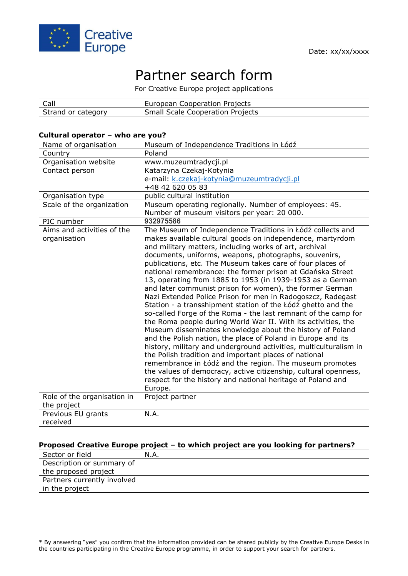

# Partner search form

For Creative Europe project applications

| Call               | European Cooperation Projects           |
|--------------------|-----------------------------------------|
| Strand or category | <b>Small Scale Cooperation Projects</b> |

#### **Cultural operator – who are you?**

| Country<br>Organisation website<br>Contact person                         | Poland                                                                                                                                                                                                                                                                                                                                                                                                                                                                                                                                                                                                                                                                                                                                                                                                                                                                                                                                                                                                                                                                                                                                                                                                                                                 |
|---------------------------------------------------------------------------|--------------------------------------------------------------------------------------------------------------------------------------------------------------------------------------------------------------------------------------------------------------------------------------------------------------------------------------------------------------------------------------------------------------------------------------------------------------------------------------------------------------------------------------------------------------------------------------------------------------------------------------------------------------------------------------------------------------------------------------------------------------------------------------------------------------------------------------------------------------------------------------------------------------------------------------------------------------------------------------------------------------------------------------------------------------------------------------------------------------------------------------------------------------------------------------------------------------------------------------------------------|
|                                                                           |                                                                                                                                                                                                                                                                                                                                                                                                                                                                                                                                                                                                                                                                                                                                                                                                                                                                                                                                                                                                                                                                                                                                                                                                                                                        |
|                                                                           | www.muzeumtradycji.pl                                                                                                                                                                                                                                                                                                                                                                                                                                                                                                                                                                                                                                                                                                                                                                                                                                                                                                                                                                                                                                                                                                                                                                                                                                  |
|                                                                           | Katarzyna Czekaj-Kotynia                                                                                                                                                                                                                                                                                                                                                                                                                                                                                                                                                                                                                                                                                                                                                                                                                                                                                                                                                                                                                                                                                                                                                                                                                               |
|                                                                           | e-mail: k.czekaj-kotynia@muzeumtradycji.pl                                                                                                                                                                                                                                                                                                                                                                                                                                                                                                                                                                                                                                                                                                                                                                                                                                                                                                                                                                                                                                                                                                                                                                                                             |
|                                                                           | +48 42 620 05 83                                                                                                                                                                                                                                                                                                                                                                                                                                                                                                                                                                                                                                                                                                                                                                                                                                                                                                                                                                                                                                                                                                                                                                                                                                       |
| Organisation type                                                         | public cultural institution                                                                                                                                                                                                                                                                                                                                                                                                                                                                                                                                                                                                                                                                                                                                                                                                                                                                                                                                                                                                                                                                                                                                                                                                                            |
| Scale of the organization                                                 | Museum operating regionally. Number of employees: 45.                                                                                                                                                                                                                                                                                                                                                                                                                                                                                                                                                                                                                                                                                                                                                                                                                                                                                                                                                                                                                                                                                                                                                                                                  |
|                                                                           | Number of museum visitors per year: 20 000.                                                                                                                                                                                                                                                                                                                                                                                                                                                                                                                                                                                                                                                                                                                                                                                                                                                                                                                                                                                                                                                                                                                                                                                                            |
| PIC number                                                                | 932975586                                                                                                                                                                                                                                                                                                                                                                                                                                                                                                                                                                                                                                                                                                                                                                                                                                                                                                                                                                                                                                                                                                                                                                                                                                              |
| Aims and activities of the<br>organisation<br>Role of the organisation in | The Museum of Independence Traditions in Łódź collects and<br>makes available cultural goods on independence, martyrdom<br>and military matters, including works of art, archival<br>documents, uniforms, weapons, photographs, souvenirs,<br>publications, etc. The Museum takes care of four places of<br>national remembrance: the former prison at Gdańska Street<br>13, operating from 1885 to 1953 (in 1939-1953 as a German<br>and later communist prison for women), the former German<br>Nazi Extended Police Prison for men in Radogoszcz, Radegast<br>Station - a transshipment station of the Łódź ghetto and the<br>so-called Forge of the Roma - the last remnant of the camp for<br>the Roma people during World War II. With its activities, the<br>Museum disseminates knowledge about the history of Poland<br>and the Polish nation, the place of Poland in Europe and its<br>history, military and underground activities, multiculturalism in<br>the Polish tradition and important places of national<br>remembrance in Łódź and the region. The museum promotes<br>the values of democracy, active citizenship, cultural openness,<br>respect for the history and national heritage of Poland and<br>Europe.<br>Project partner |
|                                                                           |                                                                                                                                                                                                                                                                                                                                                                                                                                                                                                                                                                                                                                                                                                                                                                                                                                                                                                                                                                                                                                                                                                                                                                                                                                                        |
|                                                                           |                                                                                                                                                                                                                                                                                                                                                                                                                                                                                                                                                                                                                                                                                                                                                                                                                                                                                                                                                                                                                                                                                                                                                                                                                                                        |
| received                                                                  |                                                                                                                                                                                                                                                                                                                                                                                                                                                                                                                                                                                                                                                                                                                                                                                                                                                                                                                                                                                                                                                                                                                                                                                                                                                        |
| the project<br>Previous EU grants                                         | N.A.                                                                                                                                                                                                                                                                                                                                                                                                                                                                                                                                                                                                                                                                                                                                                                                                                                                                                                                                                                                                                                                                                                                                                                                                                                                   |

#### **Proposed Creative Europe project – to which project are you looking for partners?**

| Sector or field             | N.A. |
|-----------------------------|------|
| Description or summary of   |      |
| the proposed project        |      |
| Partners currently involved |      |
| in the project              |      |